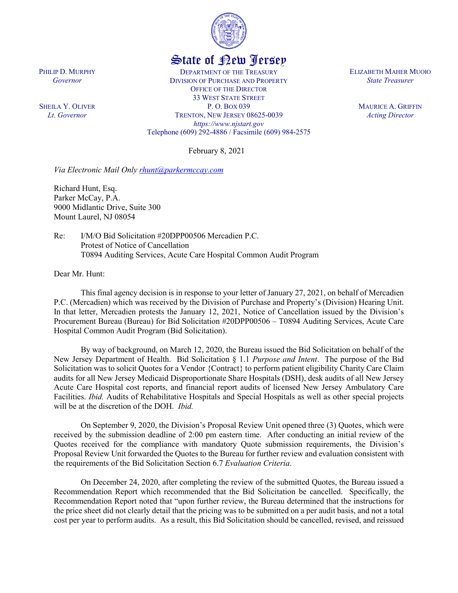

## State of New Jersey

DEPARTMENT OF THE TREASURY DIVISION OF PURCHASE AND PROPERTY OFFICE OF THE DIRECTOR 33 WEST STATE STREET P. O. BOX 039 TRENTON, NEW JERSEY 08625-0039 *https://www.njstart.gov* Telephone (609) 292-4886 / Facsimile (609) 984-2575

February 8, 2021

*Via Electronic Mail Only [rhunt@parkermccay.com](mailto:rhunt@parkermccay.com)* 

Richard Hunt, Esq. Parker McCay, P.A. 9000 Midlantic Drive, Suite 300 Mount Laurel, NJ 08054

Re: I/M/O Bid Solicitation #20DPP00506 Mercadien P.C. Protest of Notice of Cancellation T0894 Auditing Services, Acute Care Hospital Common Audit Program

Dear Mr. Hunt:

This final agency decision is in response to your letter of January 27, 2021, on behalf of Mercadien P.C. (Mercadien) which was received by the Division of Purchase and Property's (Division) Hearing Unit. In that letter, Mercadien protests the January 12, 2021, Notice of Cancellation issued by the Division's Procurement Bureau (Bureau) for Bid Solicitation #20DPP00506 – T0894 Auditing Services, Acute Care Hospital Common Audit Program (Bid Solicitation).

By way of background, on March 12, 2020, the Bureau issued the Bid Solicitation on behalf of the New Jersey Department of Health. Bid Solicitation § 1.1 *Purpose and Intent*. The purpose of the Bid Solicitation was to solicit Quotes for a Vendor {Contract} to perform patient eligibility Charity Care Claim audits for all New Jersey Medicaid Disproportionate Share Hospitals (DSH), desk audits of all New Jersey Acute Care Hospital cost reports, and financial report audits of licensed New Jersey Ambulatory Care Facilities. *Ibid.* Audits of Rehabilitative Hospitals and Special Hospitals as well as other special projects will be at the discretion of the DOH. *Ibid.*

On September 9, 2020, the Division's Proposal Review Unit opened three (3) Quotes, which were received by the submission deadline of 2:00 pm eastern time. After conducting an initial review of the Quotes received for the compliance with mandatory Quote submission requirements, the Division's Proposal Review Unit forwarded the Quotes to the Bureau for further review and evaluation consistent with the requirements of the Bid Solicitation Section 6.7 *Evaluation Criteria*.

On December 24, 2020, after completing the review of the submitted Quotes, the Bureau issued a Recommendation Report which recommended that the Bid Solicitation be cancelled. Specifically, the Recommendation Report noted that "upon further review, the Bureau determined that the instructions for the price sheet did not clearly detail that the pricing was to be submitted on a per audit basis, and not a total cost per year to perform audits. As a result, this Bid Solicitation should be cancelled, revised, and reissued

PHILIP D. MURPHY *Governor*

SHEILA Y. OLIVER *Lt. Governor*

ELIZABETH MAHER MUOIO *State Treasurer*

> MAURICE A. GRIFFIN *Acting Director*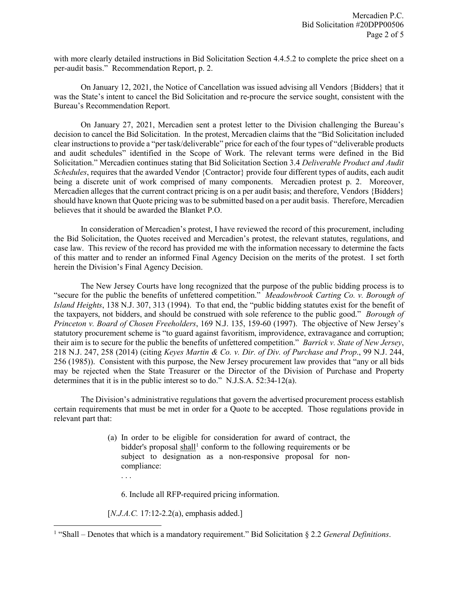with more clearly detailed instructions in Bid Solicitation Section 4.4.5.2 to complete the price sheet on a per-audit basis." Recommendation Report, p. 2.

On January 12, 2021, the Notice of Cancellation was issued advising all Vendors {Bidders} that it was the State's intent to cancel the Bid Solicitation and re-procure the service sought, consistent with the Bureau's Recommendation Report.

On January 27, 2021, Mercadien sent a protest letter to the Division challenging the Bureau's decision to cancel the Bid Solicitation. In the protest, Mercadien claims that the "Bid Solicitation included clear instructions to provide a "per task/deliverable" price for each of the four types of "deliverable products and audit schedules" identified in the Scope of Work. The relevant terms were defined in the Bid Solicitation." Mercadien continues stating that Bid Solicitation Section 3.4 *Deliverable Product and Audit Schedules*, requires that the awarded Vendor {Contractor} provide four different types of audits, each audit being a discrete unit of work comprised of many components. Mercadien protest p. 2. Moreover, Mercadien alleges that the current contract pricing is on a per audit basis; and therefore, Vendors {Bidders} should have known that Quote pricing was to be submitted based on a per audit basis. Therefore, Mercadien believes that it should be awarded the Blanket P.O.

In consideration of Mercadien's protest, I have reviewed the record of this procurement, including the Bid Solicitation, the Quotes received and Mercadien's protest, the relevant statutes, regulations, and case law. This review of the record has provided me with the information necessary to determine the facts of this matter and to render an informed Final Agency Decision on the merits of the protest. I set forth herein the Division's Final Agency Decision.

The New Jersey Courts have long recognized that the purpose of the public bidding process is to "secure for the public the benefits of unfettered competition." *Meadowbrook Carting Co. v. Borough of Island Heights*, 138 N.J. 307, 313 (1994). To that end, the "public bidding statutes exist for the benefit of the taxpayers, not bidders, and should be construed with sole reference to the public good." *Borough of Princeton v. Board of Chosen Freeholders*, 169 N.J. 135, 159-60 (1997). The objective of New Jersey's statutory procurement scheme is "to guard against favoritism, improvidence, extravagance and corruption; their aim is to secure for the public the benefits of unfettered competition." *Barrick v. State of New Jersey*, 218 N.J. 247, 258 (2014) (citing *Keyes Martin & Co. v. Dir. of Div. of Purchase and Prop*., 99 N.J. 244, 256 (1985)). Consistent with this purpose, the New Jersey procurement law provides that "any or all bids may be rejected when the State Treasurer or the Director of the Division of Purchase and Property determines that it is in the public interest so to do." N.J.S.A. 52:34-12(a).

The Division's administrative regulations that govern the advertised procurement process establish certain requirements that must be met in order for a Quote to be accepted. Those regulations provide in relevant part that:

> (a) In order to be eligible for consideration for award of contract, the bidder's proposal  $\frac{\text{shall}}{\text{1}}$  $\frac{\text{shall}}{\text{1}}$  $\frac{\text{shall}}{\text{1}}$  conform to the following requirements or be subject to designation as a non-responsive proposal for noncompliance:

6. Include all RFP-required pricing information.

[*N.J.A.C.* 17:12-2.2(a), emphasis added.]

. . .

<span id="page-1-0"></span>l <sup>1</sup> "Shall – Denotes that which is a mandatory requirement." Bid Solicitation § 2.2 *General Definitions*.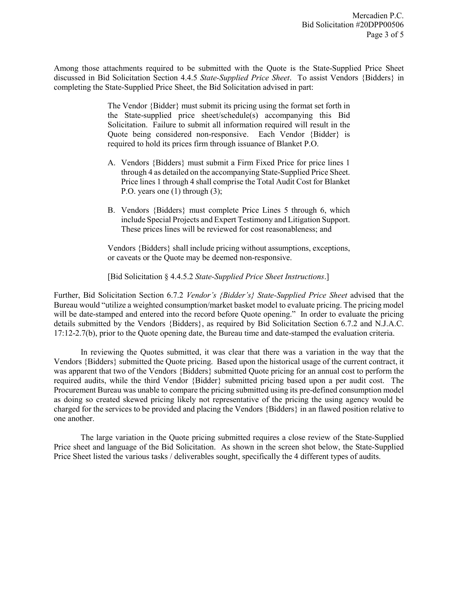Among those attachments required to be submitted with the Quote is the State-Supplied Price Sheet discussed in Bid Solicitation Section 4.4.5 *State-Supplied Price Sheet*. To assist Vendors {Bidders} in completing the State-Supplied Price Sheet, the Bid Solicitation advised in part:

> The Vendor {Bidder} must submit its pricing using the format set forth in the State-supplied price sheet/schedule(s) accompanying this Bid Solicitation. Failure to submit all information required will result in the Quote being considered non-responsive. Each Vendor {Bidder} is required to hold its prices firm through issuance of Blanket P.O.

- A. Vendors {Bidders} must submit a Firm Fixed Price for price lines 1 through 4 as detailed on the accompanying State-Supplied Price Sheet. Price lines 1 through 4 shall comprise the Total Audit Cost for Blanket P.O. years one (1) through (3);
- B. Vendors {Bidders} must complete Price Lines 5 through 6, which include Special Projects and Expert Testimony and Litigation Support. These prices lines will be reviewed for cost reasonableness; and

Vendors {Bidders} shall include pricing without assumptions, exceptions, or caveats or the Quote may be deemed non-responsive.

[Bid Solicitation § 4.4.5.2 *State-Supplied Price Sheet Instructions*.]

Further, Bid Solicitation Section 6.7.2 *Vendor's {Bidder's} State-Supplied Price Sheet* advised that the Bureau would "utilize a weighted consumption/market basket model to evaluate pricing. The pricing model will be date-stamped and entered into the record before Quote opening." In order to evaluate the pricing details submitted by the Vendors {Bidders}, as required by Bid Solicitation Section 6.7.2 and N.J.A.C. 17:12-2.7(b), prior to the Quote opening date, the Bureau time and date-stamped the evaluation criteria.

In reviewing the Quotes submitted, it was clear that there was a variation in the way that the Vendors {Bidders} submitted the Quote pricing. Based upon the historical usage of the current contract, it was apparent that two of the Vendors {Bidders} submitted Quote pricing for an annual cost to perform the required audits, while the third Vendor {Bidder} submitted pricing based upon a per audit cost. The Procurement Bureau was unable to compare the pricing submitted using its pre-defined consumption model as doing so created skewed pricing likely not representative of the pricing the using agency would be charged for the services to be provided and placing the Vendors {Bidders} in an flawed position relative to one another.

The large variation in the Quote pricing submitted requires a close review of the State-Supplied Price sheet and language of the Bid Solicitation. As shown in the screen shot below, the State-Supplied Price Sheet listed the various tasks / deliverables sought, specifically the 4 different types of audits.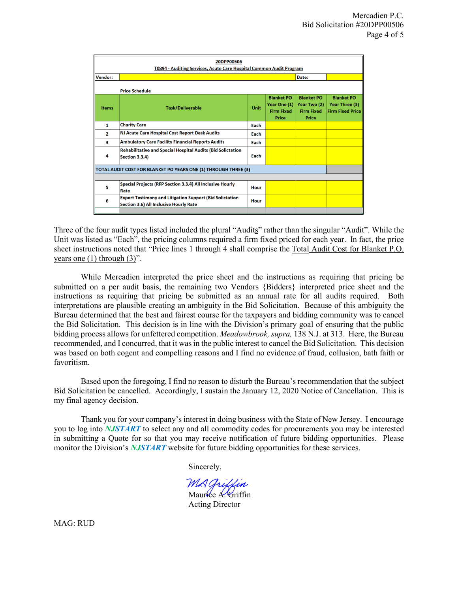| 20DPP00506<br>T0894 - Auditing Services, Acute Care Hospital Common Audit Program |                                                                                                           |      |                                                                   |                                                                 |                                                                |
|-----------------------------------------------------------------------------------|-----------------------------------------------------------------------------------------------------------|------|-------------------------------------------------------------------|-----------------------------------------------------------------|----------------------------------------------------------------|
| Vendor:                                                                           |                                                                                                           |      |                                                                   | Date:                                                           |                                                                |
| <b>Price Schedule</b>                                                             |                                                                                                           |      |                                                                   |                                                                 |                                                                |
| <b>Items</b>                                                                      | <b>Task/Deliverable</b>                                                                                   | Unit | <b>Blanket PO</b><br>Year One $(1)$<br><b>Firm Fixed</b><br>Price | <b>Blanket PO</b><br>Year Two (2)<br><b>Firm Fixed</b><br>Price | <b>Blanket PO</b><br>Year Three (3)<br><b>Firm Fixed Price</b> |
| $\mathbf{1}$                                                                      | <b>Charity Care</b>                                                                                       | Each |                                                                   |                                                                 |                                                                |
| $\mathbf{2}$                                                                      | NJ Acute Care Hospital Cost Report Desk Audits                                                            | Each |                                                                   |                                                                 |                                                                |
| 3                                                                                 | <b>Ambulatory Care Facility Financial Reports Audits</b>                                                  | Each |                                                                   |                                                                 |                                                                |
| 4                                                                                 | <b>Rehabilitative and Special Hospital Audits (Bid Solictation</b><br><b>Section 3.3.4)</b>               | Each |                                                                   |                                                                 |                                                                |
| TOTAL AUDIT COST FOR BLANKET PO YEARS ONE (1) THROUGH THREE (3)                   |                                                                                                           |      |                                                                   |                                                                 |                                                                |
| 5                                                                                 | Special Projects (RFP Section 3.3.4) All Inclusive Hourly<br>Rate                                         | Hour |                                                                   |                                                                 |                                                                |
| 6                                                                                 | <b>Expert Testimony and Litigation Support (Bid Solictation</b><br>Section 3.6) All Inclusive Hourly Rate | Hour |                                                                   |                                                                 |                                                                |
|                                                                                   |                                                                                                           |      |                                                                   |                                                                 |                                                                |

Three of the four audit types listed included the plural "Audits" rather than the singular "Audit". While the Unit was listed as "Each", the pricing columns required a firm fixed priced for each year. In fact, the price sheet instructions noted that "Price lines 1 through 4 shall comprise the Total Audit Cost for Blanket P.O. years one  $(1)$  through  $(3)$ ".

While Mercadien interpreted the price sheet and the instructions as requiring that pricing be submitted on a per audit basis, the remaining two Vendors {Bidders} interpreted price sheet and the instructions as requiring that pricing be submitted as an annual rate for all audits required. Both interpretations are plausible creating an ambiguity in the Bid Solicitation. Because of this ambiguity the Bureau determined that the best and fairest course for the taxpayers and bidding community was to cancel the Bid Solicitation. This decision is in line with the Division's primary goal of ensuring that the public bidding process allows for unfettered competition. *Meadowbrook, supra,* 138 N.J. at 313. Here, the Bureau recommended, and I concurred, that it was in the public interest to cancel the Bid Solicitation. This decision was based on both cogent and compelling reasons and I find no evidence of fraud, collusion, bath faith or favoritism.

Based upon the foregoing, I find no reason to disturb the Bureau's recommendation that the subject Bid Solicitation be cancelled. Accordingly, I sustain the January 12, 2020 Notice of Cancellation. This is my final agency decision.

Thank you for your company's interest in doing business with the State of New Jersey. I encourage you to log into *NJSTART* to select any and all commodity codes for procurements you may be interested in submitting a Quote for so that you may receive notification of future bidding opportunities. Please monitor the Division's *NJSTART* website for future bidding opportunities for these services.

Sincerely,

MA Griffin Maurice A. Griffin

Acting Director

MAG: RUD